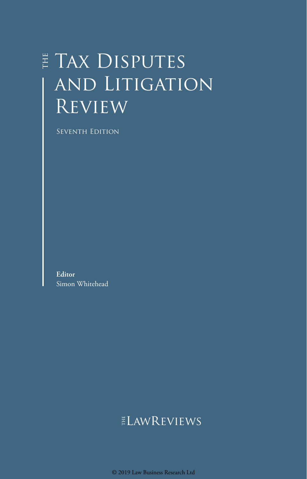# E TAX DISPUTES and Litigation **REVIEW**

Seventh Edition

**Editor** Simon Whitehead

## **ELAWREVIEWS**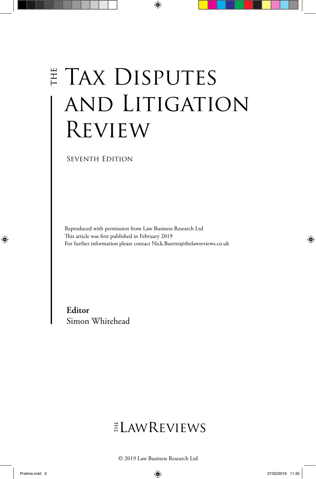# E TAX DISPUTES and Litigation **REVIEW**

Seventh Edition

Reproduced with permission from Law Business Research Ltd This article was first published in February 2019 For further information please contact Nick.Barette@thelawreviews.co.uk

**Editor** Simon Whitehead

# ELAWREVIEWS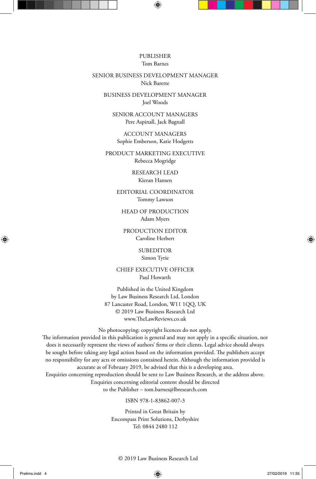#### PUBLISHER Tom Barnes

#### SENIOR BUSINESS DEVELOPMENT MANAGER Nick Barette

BUSINESS DEVELOPMENT MANAGER Joel Woods

SENIOR ACCOUNT MANAGERS Pere Aspinall, Jack Bagnall

ACCOUNT MANAGERS Sophie Emberson, Katie Hodgetts

PRODUCT MARKETING EXECUTIVE Rebecca Mogridge

> RESEARCH LEAD Kieran Hansen

EDITORIAL COORDINATOR Tommy Lawson

HEAD OF PRODUCTION Adam Myers

PRODUCTION EDITOR Caroline Herbert

> SUBEDITOR Simon Tyrie

CHIEF EXECUTIVE OFFICER Paul Howarth

Published in the United Kingdom by Law Business Research Ltd, London 87 Lancaster Road, London, W11 1QQ, UK © 2019 Law Business Research Ltd www.TheLawReviews.co.uk

No photocopying: copyright licences do not apply.

The information provided in this publication is general and may not apply in a specific situation, nor does it necessarily represent the views of authors' firms or their clients. Legal advice should always be sought before taking any legal action based on the information provided. The publishers accept no responsibility for any acts or omissions contained herein. Although the information provided is accurate as of February 2019, be advised that this is a developing area. Enquiries concerning reproduction should be sent to Law Business Research, at the address above.

> Enquiries concerning editorial content should be directed to the Publisher – tom.barnes@lbresearch.com

> > ISBN 978-1-83862-007-3

Printed in Great Britain by Encompass Print Solutions, Derbyshire Tel: 0844 2480 112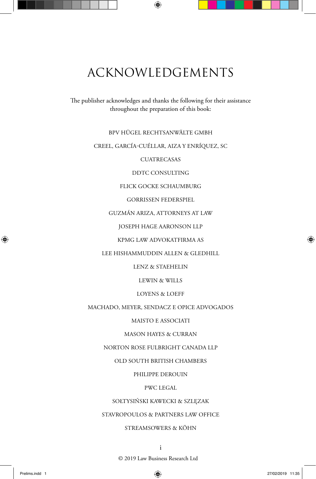# ACKNOWLEDGEMENTS

The publisher acknowledges and thanks the following for their assistance throughout the preparation of this book:

#### BPV HÜGEL RECHTSANWÄLTE GMBH

#### CREEL, GARCÍA-CUÉLLAR, AIZA Y ENRÍQUEZ, SC

#### **CUATRECASAS**

#### DDTC CONSULTING

#### FLICK GOCKE SCHAUMBURG

#### GORRISSEN FEDERSPIEL

#### GUZMÁN ARIZA, ATTORNEYS AT LAW

#### JOSEPH HAGE AARONSON LLP

#### KPMG LAW ADVOKATFIRMA AS

#### LEE HISHAMMUDDIN ALLEN & GLEDHILL

#### LENZ & STAEHELIN

#### LEWIN & WILLS

#### LOYENS & LOEFF

#### MACHADO, MEYER, SENDACZ E OPICE ADVOGADOS

#### MAISTO E ASSOCIATI

#### MASON HAYES & CURRAN

#### NORTON ROSE FULBRIGHT CANADA LLP

#### OLD SOUTH BRITISH CHAMBERS

#### PHILIPPE DEROUIN

#### PWC LEGAL

#### SOŁTYSIŃSKI KAWECKI & SZLĘZAK

#### STAVROPOULOS & PARTNERS LAW OFFICE

#### STREAMSOWERS & KÖHN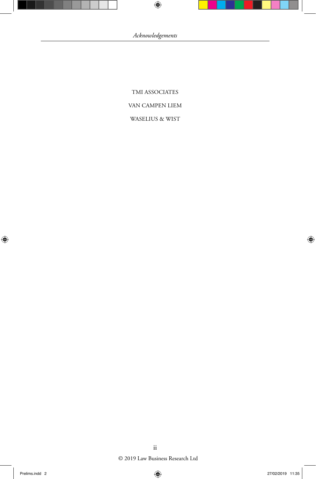TMI ASSOCIATES VAN CAMPEN LIEM WASELIUS & WIST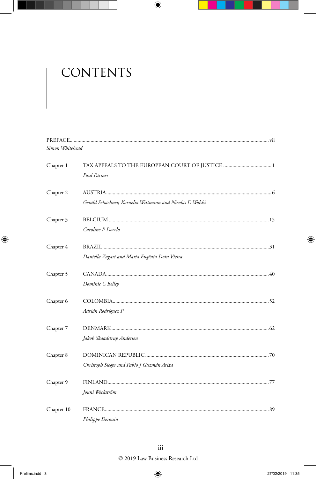# CONTENTS

| Simon Whitehead |                                                          |  |
|-----------------|----------------------------------------------------------|--|
| Chapter 1       |                                                          |  |
|                 | Paul Farmer                                              |  |
| Chapter 2       |                                                          |  |
|                 | Gerald Schachner, Kornelia Wittmann and Nicolas D Wolski |  |
| Chapter 3       |                                                          |  |
|                 | Caroline P Docclo                                        |  |
| Chapter 4       |                                                          |  |
|                 | Daniella Zagari and Maria Eugênia Doin Vieira            |  |
| Chapter 5       |                                                          |  |
|                 | Dominic C Belley                                         |  |
| Chapter 6       |                                                          |  |
|                 | Adrián Rodríguez P                                       |  |
| Chapter 7       |                                                          |  |
|                 | Jakob Skaadstrup Andersen                                |  |
| Chapter 8       |                                                          |  |
|                 | Christoph Sieger and Fabio J Guzmán Ariza                |  |
| Chapter 9       |                                                          |  |
|                 | Jouni Weckström                                          |  |
| Chapter 10      |                                                          |  |
|                 | Philippe Derouin                                         |  |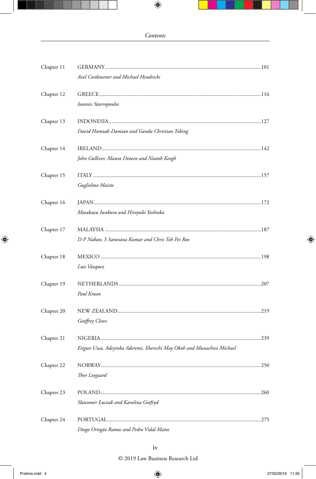| Chapter 11 |                                                                       |     |
|------------|-----------------------------------------------------------------------|-----|
|            | Axel Cordewener and Michael Hendricks                                 |     |
| Chapter 12 |                                                                       |     |
|            | Ioannis Stavropoulos                                                  |     |
| Chapter 13 |                                                                       |     |
|            | David Hamzah Damian and Ganda Christian Tobing                        |     |
| Chapter 14 |                                                                       |     |
|            | John Gulliver, Maura Dineen and Niamh Keogh                           |     |
| Chapter 15 |                                                                       |     |
|            | Guglielmo Maisto                                                      |     |
| Chapter 16 |                                                                       |     |
|            | Masakazu Iwakura and Hiroyuki Yoshioka                                |     |
| Chapter 17 |                                                                       |     |
|            | D P Naban, S Saravana Kumar and Chris Toh Pei Roo                     |     |
| Chapter 18 |                                                                       |     |
|            | Luis Vázquez                                                          |     |
| Chapter 19 |                                                                       |     |
|            | Paul Kraan                                                            |     |
| Chapter 20 |                                                                       |     |
|            | Geoffrey Clews                                                        |     |
| Chapter 21 |                                                                       |     |
|            | Etigwe Uwa, Adeyinka Aderemi, Eberechi May Okoh and Munachiso Michael |     |
| Chapter 22 |                                                                       | 250 |
|            | Thor Leegaard                                                         |     |
| Chapter 23 |                                                                       |     |
|            | Sławomir Łuczak and Karolina Gotfryd                                  |     |
| Chapter 24 |                                                                       |     |
|            | Diogo Ortigão Ramos and Pedro Vidal Matos                             |     |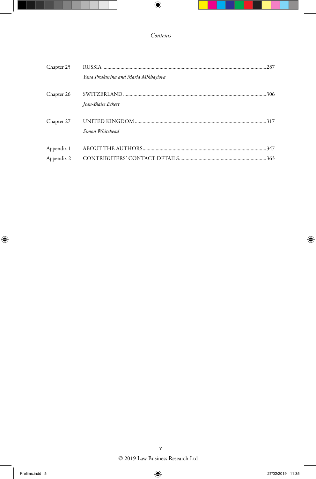| Chapter 25 |                                      |  |
|------------|--------------------------------------|--|
|            | Yana Proskurina and Maria Mikhaylova |  |
| Chapter 26 | Iean-Blaise Eckert                   |  |
| Chapter 27 | Simon Whitehead                      |  |
| Appendix 1 |                                      |  |
| Appendix 2 |                                      |  |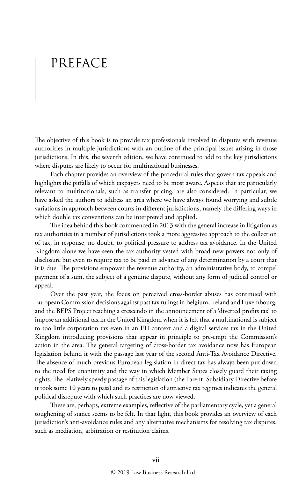# PREFACE

The objective of this book is to provide tax professionals involved in disputes with revenue authorities in multiple jurisdictions with an outline of the principal issues arising in those jurisdictions. In this, the seventh edition, we have continued to add to the key jurisdictions where disputes are likely to occur for multinational businesses.

Each chapter provides an overview of the procedural rules that govern tax appeals and highlights the pitfalls of which taxpayers need to be most aware. Aspects that are particularly relevant to multinationals, such as transfer pricing, are also considered. In particular, we have asked the authors to address an area where we have always found worrying and subtle variations in approach between courts in different jurisdictions, namely the differing ways in which double tax conventions can be interpreted and applied.

The idea behind this book commenced in 2013 with the general increase in litigation as tax authorities in a number of jurisdictions took a more aggressive approach to the collection of tax, in response, no doubt, to political pressure to address tax avoidance. In the United Kingdom alone we have seen the tax authority vested with broad new powers not only of disclosure but even to require tax to be paid in advance of any determination by a court that it is due. The provisions empower the revenue authority, an administrative body, to compel payment of a sum, the subject of a genuine dispute, without any form of judicial control or appeal.

Over the past year, the focus on perceived cross-border abuses has continued with European Commission decisions against past tax rulings in Belgium, Ireland and Luxembourg, and the BEPS Project reaching a crescendo in the announcement of a 'diverted profits tax' to impose an additional tax in the United Kingdom when it is felt that a multinational is subject to too little corporation tax even in an EU context and a digital services tax in the United Kingdom introducing provisions that appear in principle to pre-empt the Commission's action in the area. The general targeting of cross-border tax avoidance now has European legislation behind it with the passage last year of the second Anti-Tax Avoidance Directive. The absence of much previous European legislation in direct tax has always been put down to the need for unanimity and the way in which Member States closely guard their taxing rights. The relatively speedy passage of this legislation (the Parent–Subsidiary Directive before it took some 10 years to pass) and its restriction of attractive tax regimes indicates the general political disrepute with which such practices are now viewed.

These are, perhaps, extreme examples, reflective of the parliamentary cycle, yet a general toughening of stance seems to be felt. In that light, this book provides an overview of each jurisdiction's anti-avoidance rules and any alternative mechanisms for resolving tax disputes, such as mediation, arbitration or restitution claims.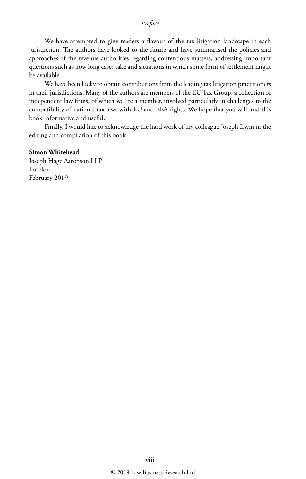We have attempted to give readers a flavour of the tax litigation landscape in each jurisdiction. The authors have looked to the future and have summarised the policies and approaches of the revenue authorities regarding contentious matters, addressing important questions such as how long cases take and situations in which some form of settlement might be available.

We have been lucky to obtain contributions from the leading tax litigation practitioners in their jurisdictions. Many of the authors are members of the EU Tax Group, a collection of independent law firms, of which we are a member, involved particularly in challenges to the compatibility of national tax laws with EU and EEA rights. We hope that you will find this book informative and useful.

Finally, I would like to acknowledge the hard work of my colleague Joseph Irwin in the editing and compilation of this book.

#### **Simon Whitehead**

Joseph Hage Aaronson LLP London February 2019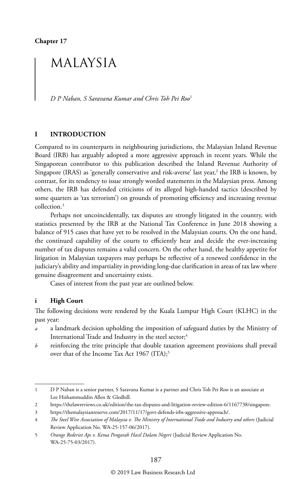**Chapter 17**

### MALAYSIA

*D P Naban, S Saravana Kumar and Chris Toh Pei Roo*<sup>1</sup>

#### **I INTRODUCTION**

Compared to its counterparts in neighbouring jurisdictions, the Malaysian Inland Revenue Board (IRB) has arguably adopted a more aggressive approach in recent years. While the Singaporean contributor to this publication described the Inland Revenue Authority of Singapore (IRAS) as 'generally conservative and risk-averse' last year,<sup>2</sup> the IRB is known, by contrast, for its tendency to issue strongly worded statements in the Malaysian press. Among others, the IRB has defended criticisms of its alleged high-handed tactics (described by some quarters as 'tax terrorism') on grounds of promoting efficiency and increasing revenue collection.3

Perhaps not uncoincidentally, tax disputes are strongly litigated in the country, with statistics presented by the IRB at the National Tax Conference in June 2018 showing a balance of 915 cases that have yet to be resolved in the Malaysian courts. On the one hand, the continued capability of the courts to efficiently hear and decide the ever-increasing number of tax disputes remains a valid concern. On the other hand, the healthy appetite for litigation in Malaysian taxpayers may perhaps be reflective of a renewed confidence in the judiciary's ability and impartiality in providing long-due clarification in areas of tax law where genuine disagreement and uncertainty exists.

Cases of interest from the past year are outlined below.

#### **i High Court**

The following decisions were rendered by the Kuala Lumpur High Court (KLHC) in the past year:

- *a* a landmark decision upholding the imposition of safeguard duties by the Ministry of International Trade and Industry in the steel sector;<sup>4</sup>
- *b* reinforcing the trite principle that double taxation agreement provisions shall prevail over that of the Income Tax Act 1967 (ITA);<sup>5</sup>

<sup>1</sup> D P Naban is a senior partner, S Saravana Kumar is a partner and Chris Toh Pei Roo is an associate at Lee Hishammuddin Allen & Gledhill.

<sup>2</sup> https://thelawreviews.co.uk/edition/the-tax-disputes-and-litigation-review-edition-6/1167738/singapore.

<sup>3</sup> https://themalaysianreserve.com/2017/11/17/govt-defends-irbs-aggressive-approach/.

<sup>4</sup> *The Steel Wire Association of Malaysia v. The Ministry of International Trade and Industry and others* (Judicial Review Application No. WA-25-157-06/2017).

<sup>5</sup> *Orange Rederiet Aps v. Ketua Pengarah Hasil Dalam Negeri* (Judicial Review Application No. WA-25-75-03/2017).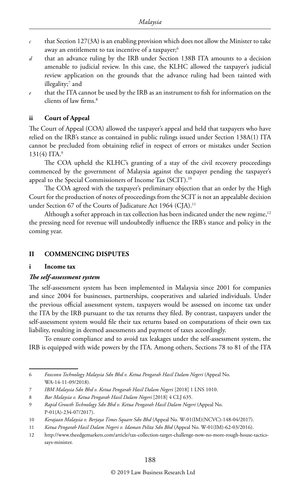- $c$  that Section 127(3A) is an enabling provision which does not allow the Minister to take away an entitlement to tax incentive of a taxpayer;<sup>6</sup>
- *d* that an advance ruling by the IRB under Section 138B ITA amounts to a decision amenable to judicial review. In this case, the KLHC allowed the taxpayer's judicial review application on the grounds that the advance ruling had been tainted with illegality;7 and
- *e* that the ITA cannot be used by the IRB as an instrument to fish for information on the clients of law firms.8

#### **ii Court of Appeal**

The Court of Appeal (COA) allowed the taxpayer's appeal and held that taxpayers who have relied on the IRB's stance as contained in public rulings issued under Section 138A(1) ITA cannot be precluded from obtaining relief in respect of errors or mistakes under Section  $131(4)$  ITA.<sup>9</sup>

The COA upheld the KLHC's granting of a stay of the civil recovery proceedings commenced by the government of Malaysia against the taxpayer pending the taxpayer's appeal to the Special Commissioners of Income Tax (SCIT).10

The COA agreed with the taxpayer's preliminary objection that an order by the High Court for the production of notes of proceedings from the SCIT is not an appealable decision under Section 67 of the Courts of Judicature Act 1964 (CJA).<sup>11</sup>

Although a softer approach in tax collection has been indicated under the new regime, $12$ the pressing need for revenue will undoubtedly influence the IRB's stance and policy in the coming year.

#### **II COMMENCING DISPUTES**

#### **i Income tax**

#### *The self-assessment system*

The self-assessment system has been implemented in Malaysia since 2001 for companies and since 2004 for businesses, partnerships, cooperatives and salaried individuals. Under the previous official assessment system, taxpayers would be assessed on income tax under the ITA by the IRB pursuant to the tax returns they filed. By contrast, taxpayers under the self-assessment system would file their tax returns based on computations of their own tax liability, resulting in deemed assessments and payment of taxes accordingly.

To ensure compliance and to avoid tax leakages under the self-assessment system, the IRB is equipped with wide powers by the ITA. Among others, Sections 78 to 81 of the ITA

<sup>6</sup> *Foxconn Technology Malaysia Sdn Bhd v. Ketua Pengarah Hasil Dalam Negeri* (Appeal No. WA-14-11-09/2018).

<sup>7</sup> *IBM Malaysia Sdn Bhd v. Ketua Pengarah Hasil Dalam Negeri* [2018] 1 LNS 1010.

<sup>8</sup> *Bar Malaysia v. Ketua Pengarah Hasil Dalam Negeri* [2018] 4 CLJ 635.

<sup>9</sup> *Rapid Growth Technology Sdn Bhd v. Ketua Pengarah Hasil Dalam Negeri* (Appeal No. P-01(A)-234-07/2017).

<sup>10</sup> *Kerajaan Malaysia v. Berjaya Times Square Sdn Bhd* (Appeal No. W-01(IM)(NCVC)-148-04/2017).

<sup>11</sup> *Ketua Pengarah Hasil Dalam Negeri v. Idaman Pelita Sdn Bhd* (Appeal No. W-01(IM)-62-03/2016).

<sup>12</sup> http://www.theedgemarkets.com/article/tax-collection-target-challenge-now-no-more-rough-house-tacticssays-minister.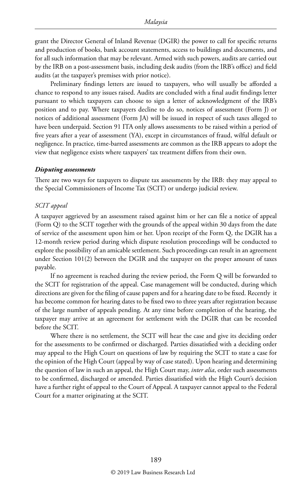grant the Director General of Inland Revenue (DGIR) the power to call for specific returns and production of books, bank account statements, access to buildings and documents, and for all such information that may be relevant. Armed with such powers, audits are carried out by the IRB on a post-assessment basis, including desk audits (from the IRB's office) and field audits (at the taxpayer's premises with prior notice).

Preliminary findings letters are issued to taxpayers, who will usually be afforded a chance to respond to any issues raised. Audits are concluded with a final audit findings letter pursuant to which taxpayers can choose to sign a letter of acknowledgment of the IRB's position and to pay. Where taxpayers decline to do so, notices of assessment (Form J) or notices of additional assessment (Form JA) will be issued in respect of such taxes alleged to have been underpaid. Section 91 ITA only allows assessments to be raised within a period of five years after a year of assessment (YA), except in circumstances of fraud, wilful default or negligence. In practice, time-barred assessments are common as the IRB appears to adopt the view that negligence exists where taxpayers' tax treatment differs from their own.

#### *Disputing assessments*

There are two ways for taxpayers to dispute tax assessments by the IRB: they may appeal to the Special Commissioners of Income Tax (SCIT) or undergo judicial review.

#### *SCIT appeal*

A taxpayer aggrieved by an assessment raised against him or her can file a notice of appeal (Form Q) to the SCIT together with the grounds of the appeal within 30 days from the date of service of the assessment upon him or her. Upon receipt of the Form Q, the DGIR has a 12-month review period during which dispute resolution proceedings will be conducted to explore the possibility of an amicable settlement. Such proceedings can result in an agreement under Section 101(2) between the DGIR and the taxpayer on the proper amount of taxes payable.

If no agreement is reached during the review period, the Form Q will be forwarded to the SCIT for registration of the appeal. Case management will be conducted, during which directions are given for the filing of cause papers and for a hearing date to be fixed. Recently it has become common for hearing dates to be fixed two to three years after registration because of the large number of appeals pending. At any time before completion of the hearing, the taxpayer may arrive at an agreement for settlement with the DGIR that can be recorded before the SCIT.

Where there is no settlement, the SCIT will hear the case and give its deciding order for the assessments to be confirmed or discharged. Parties dissatisfied with a deciding order may appeal to the High Court on questions of law by requiring the SCIT to state a case for the opinion of the High Court (appeal by way of case stated). Upon hearing and determining the question of law in such an appeal, the High Court may, *inter alia*, order such assessments to be confirmed, discharged or amended. Parties dissatisfied with the High Court's decision have a further right of appeal to the Court of Appeal. A taxpayer cannot appeal to the Federal Court for a matter originating at the SCIT.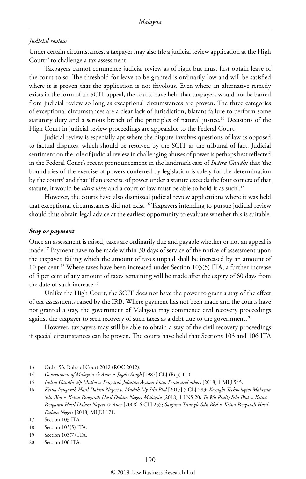#### *Judicial review*

Under certain circumstances, a taxpayer may also file a judicial review application at the High Court<sup>13</sup> to challenge a tax assessment.

Taxpayers cannot commence judicial review as of right but must first obtain leave of the court to so. The threshold for leave to be granted is ordinarily low and will be satisfied where it is proven that the application is not frivolous. Even where an alternative remedy exists in the form of an SCIT appeal, the courts have held that taxpayers would not be barred from judicial review so long as exceptional circumstances are proven. The three categories of exceptional circumstances are a clear lack of jurisdiction, blatant failure to perform some statutory duty and a serious breach of the principles of natural justice.<sup>14</sup> Decisions of the High Court in judicial review proceedings are appealable to the Federal Court.

Judicial review is especially apt where the dispute involves questions of law as opposed to factual disputes, which should be resolved by the SCIT as the tribunal of fact. Judicial sentiment on the role of judicial review in challenging abuses of power is perhaps best reflected in the Federal Court's recent pronouncement in the landmark case of *Indira Gandhi* that 'the boundaries of the exercise of powers conferred by legislation is solely for the determination by the courts' and that 'if an exercise of power under a statute exceeds the four corners of that statute, it would be *ultra vires* and a court of law must be able to hold it as such'.15

However, the courts have also dismissed judicial review applications where it was held that exceptional circumstances did not exist.<sup>16</sup> Taxpayers intending to pursue judicial review should thus obtain legal advice at the earliest opportunity to evaluate whether this is suitable.

#### *Stay or payment*

Once an assessment is raised, taxes are ordinarily due and payable whether or not an appeal is made.17 Payment have to be made within 30 days of service of the notice of assessment upon the taxpayer, failing which the amount of taxes unpaid shall be increased by an amount of 10 per cent.18 Where taxes have been increased under Section 103(5) ITA, a further increase of 5 per cent of any amount of taxes remaining will be made after the expiry of 60 days from the date of such increase.<sup>19</sup>

Unlike the High Court, the SCIT does not have the power to grant a stay of the effect of tax assessments raised by the IRB. Where payment has not been made and the courts have not granted a stay, the government of Malaysia may commence civil recovery proceedings against the taxpayer to seek recovery of such taxes as a debt due to the government.<sup>20</sup>

However, taxpayers may still be able to obtain a stay of the civil recovery proceedings if special circumstances can be proven. The courts have held that Sections 103 and 106 ITA

<sup>13</sup> Order 53, Rules of Court 2012 (ROC 2012).

<sup>14</sup> *Government of Malaysia & Anor v. Jagdis Singh* [1987] CLJ (Rep) 110.

<sup>15</sup> *Indira Gandhi a/p Mutho v. Pengarah Jabatan Agama Islam Perak and others* [2018] 1 MLJ 545.

<sup>16</sup> *Ketua Pengarah Hasil Dalam Negeri v. Mudah.My Sdn Bhd* [2017] 5 CLJ 283; *Keysight Technologies Malaysia Sdn Bhd v. Ketua Pengarah Hasil Dalam Negeri Malaysia* [2018] 1 LNS 20; *Ta Wu Realty Sdn Bhd v. Ketua Pengarah Hasil Dalam Negeri & Anor* [2008] 6 CLJ 235; *Saujana Triangle Sdn Bhd v. Ketua Pengarah Hasil Dalam Negeri* [2018] MLJU 171.

<sup>17</sup> Section 103 ITA.

<sup>18</sup> Section 103(5) ITA.

<sup>19</sup> Section 103(7) ITA.

<sup>20</sup> Section 106 ITA.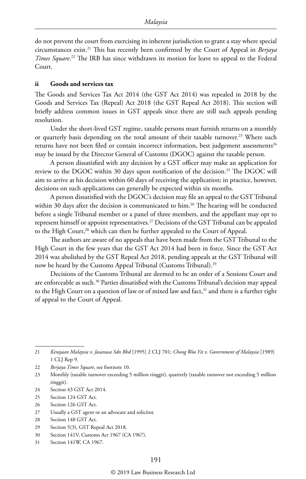do not prevent the court from exercising its inherent jurisdiction to grant a stay where special circumstances exist.21 This has recently been confirmed by the Court of Appeal in *Berjaya Times Square*. 22 The IRB has since withdrawn its motion for leave to appeal to the Federal Court.

#### **ii Goods and services tax**

The Goods and Services Tax Act 2014 (the GST Act 2014) was repealed in 2018 by the Goods and Services Tax (Repeal) Act 2018 (the GST Repeal Act 2018). This section will briefly address common issues in GST appeals since there are still such appeals pending resolution.

Under the short-lived GST regime, taxable persons must furnish returns on a monthly or quarterly basis depending on the total amount of their taxable turnover.<sup>23</sup> Where such returns have not been filed or contain incorrect information, best judgement assessments<sup>24</sup> may be issued by the Director General of Customs (DGOC) against the taxable person.

A person dissatisfied with any decision by a GST officer may make an application for review to the DGOC within 30 days upon notification of the decision.<sup>25</sup> The DGOC will aim to arrive at his decision within 60 days of receiving the application; in practice, however, decisions on such applications can generally be expected within six months.

A person dissatisfied with the DGOC's decision may file an appeal to the GST Tribunal within 30 days after the decision is communicated to him.<sup>26</sup> The hearing will be conducted before a single Tribunal member or a panel of three members, and the appellant may opt to represent himself or appoint representatives.<sup>27</sup> Decisions of the GST Tribunal can be appealed to the High Court,<sup>28</sup> which can then be further appealed to the Court of Appeal.

The authors are aware of no appeals that have been made from the GST Tribunal to the High Court in the few years that the GST Act 2014 had been in force. Since the GST Act 2014 was abolished by the GST Repeal Act 2018, pending appeals at the GST Tribunal will now be heard by the Customs Appeal Tribunal (Customs Tribunal).<sup>29</sup>

Decisions of the Customs Tribunal are deemed to be an order of a Sessions Court and are enforceable as such.<sup>30</sup> Parties dissatisfied with the Customs Tribunal's decision may appeal to the High Court on a question of law or of mixed law and fact,<sup>31</sup> and there is a further right of appeal to the Court of Appeal.

<sup>21</sup> *Kerajaan Malaysia v. Jasanusa Sdn Bhd* [1995] 2 CLJ 701; *Chong Woo Yit v. Government of Malaysia* [1989] 1 CLJ Rep 9.

<sup>22</sup> *Berjaya Times Square*, see footnote 10.

<sup>23</sup> Monthly (taxable turnover exceeding 5 million ringgit), quarterly (taxable turnover not exceeding 5 million ringgit).

<sup>24</sup> Section 43 GST Act 2014.

<sup>25</sup> Section 124 GST Act.

<sup>26</sup> Section 126 GST Act.

<sup>27</sup> Usually a GST agent or an advocate and solicitor.

<sup>28</sup> Section 148 GST Act.

<sup>29</sup> Section 5(3), GST Repeal Act 2018.

<sup>30</sup> Section 141V, Customs Act 1967 (CA 1967).

<sup>31</sup> Section 141W, CA 1967.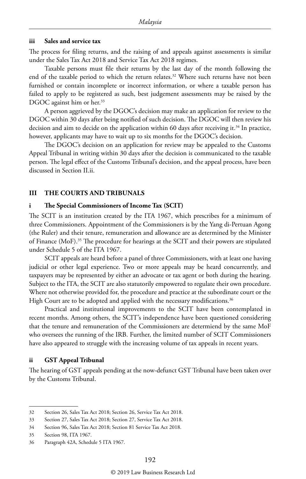#### **iii Sales and service tax**

The process for filing returns, and the raising of and appeals against assessments is similar under the Sales Tax Act 2018 and Service Tax Act 2018 regimes.

Taxable persons must file their returns by the last day of the month following the end of the taxable period to which the return relates.<sup>32</sup> Where such returns have not been furnished or contain incomplete or incorrect information, or where a taxable person has failed to apply to be registered as such, best judgement assessments may be raised by the DGOC against him or her.<sup>33</sup>

A person aggrieved by the DGOC's decision may make an application for review to the DGOC within 30 days after being notified of such decision. The DGOC will then review his decision and aim to decide on the application within 60 days after receiving it.<sup>34</sup> In practice, however, applicants may have to wait up to six months for the DGOC's decision.

The DGOC's decision on an application for review may be appealed to the Customs Appeal Tribunal in writing within 30 days after the decision is communicated to the taxable person. The legal effect of the Customs Tribunal's decision, and the appeal process, have been discussed in Section II.ii.

#### **III THE COURTS AND TRIBUNALS**

#### **i The Special Commissioners of Income Tax (SCIT)**

The SCIT is an institution created by the ITA 1967, which prescribes for a minimum of three Commissioners. Appointment of the Commissioners is by the Yang di-Pertuan Agong (the Ruler) and their tenure, remuneration and allowance are as determined by the Minister of Finance (MoF).35 The procedure for hearings at the SCIT and their powers are stipulated under Schedule 5 of the ITA 1967.

SCIT appeals are heard before a panel of three Commissioners, with at least one having judicial or other legal experience. Two or more appeals may be heard concurrently, and taxpayers may be represented by either an advocate or tax agent or both during the hearing. Subject to the ITA, the SCIT are also statutorily empowered to regulate their own procedure. Where not otherwise provided for, the procedure and practice at the subordinate court or the High Court are to be adopted and applied with the necessary modifications.<sup>36</sup>

Practical and institutional improvements to the SCIT have been contemplated in recent months. Among others, the SCIT's independence have been questioned considering that the tenure and remuneration of the Commissioners are determiend by the same MoF who oversees the running of the IRB. Further, the limited number of SCIT Commissioners have also appeared to struggle with the increasing volume of tax appeals in recent years.

#### **ii GST Appeal Tribunal**

The hearing of GST appeals pending at the now-defunct GST Tribunal have been taken over by the Customs Tribunal.

<sup>32</sup> Section 26, Sales Tax Act 2018; Section 26, Service Tax Act 2018.

<sup>33</sup> Section 27, Sales Tax Act 2018; Section 27, Service Tax Act 2018.

<sup>34</sup> Section 96, Sales Tax Act 2018; Section 81 Service Tax Act 2018.

<sup>35</sup> Section 98, ITA 1967.

<sup>36</sup> Paragraph 42A, Schedule 5 ITA 1967.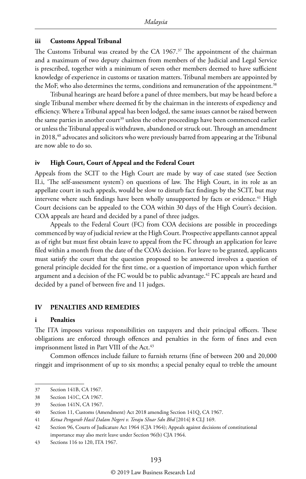#### **iii Customs Appeal Tribunal**

The Customs Tribunal was created by the CA 1967.<sup>37</sup> The appointment of the chairman and a maximum of two deputy chairmen from members of the Judicial and Legal Service is prescribed, together with a minimum of seven other members deemed to have sufficient knowledge of experience in customs or taxation matters. Tribunal members are appointed by the MoF, who also determines the terms, conditions and remuneration of the appointment.<sup>38</sup>

Tribunal hearings are heard before a panel of three members, but may be heard before a single Tribunal member where deemed fit by the chairman in the interests of expediency and efficiency. Where a Tribunal appeal has been lodged, the same issues cannot be raised between the same parties in another court<sup>39</sup> unless the other proceedings have been commenced earlier or unless the Tribunal appeal is withdrawn, abandoned or struck out. Through an amendment in 2018,<sup>40</sup> advocates and solicitors who were previously barred from appearing at the Tribunal are now able to do so.

#### **iv High Court, Court of Appeal and the Federal Court**

Appeals from the SCIT to the High Court are made by way of case stated (see Section II.i, 'The self-assessment system') on questions of law. The High Court, in its role as an appellate court in such appeals, would be slow to disturb fact findings by the SCIT, but may intervene where such findings have been wholly unsupported by facts or evidence.<sup>41</sup> High Court decisions can be appealed to the COA within 30 days of the High Court's decision. COA appeals are heard and decided by a panel of three judges.

Appeals to the Federal Court (FC) from COA decisions are possible in proceedings commenced by way of judicial review at the High Court. Prospective appellants cannot appeal as of right but must first obtain leave to appeal from the FC through an application for leave filed within a month from the date of the COA's decision. For leave to be granted, applicants must satisfy the court that the question proposed to be answered involves a question of general principle decided for the first time, or a question of importance upon which further argument and a decision of the FC would be to public advantage.<sup>42</sup> FC appeals are heard and decided by a panel of between five and 11 judges.

#### **IV PENALTIES AND REMEDIES**

#### **i Penalties**

The ITA imposes various responsibilities on taxpayers and their principal officers. These obligations are enforced through offences and penalties in the form of fines and even imprisonment listed in Part VIII of the Act.<sup>43</sup>

Common offences include failure to furnish returns (fine of between 200 and 20,000 ringgit and imprisonment of up to six months; a special penalty equal to treble the amount

<sup>37</sup> Section 141B, CA 1967.

<sup>38</sup> Section 141C, CA 1967.

<sup>39</sup> Section 141N, CA 1967.

<sup>40</sup> Section 11, Customs (Amendment) Act 2018 amending Section 141Q, CA 1967.

<sup>41</sup> *Ketua Pengarah Hasil Dalam Negeri v. Teraju SInar Sdn Bhd* [2014] 8 CLJ 169.

<sup>42</sup> Section 96, Courts of Judicature Act 1964 (CJA 1964); Appeals against decisions of constitutional importance may also merit leave under Section 96(b) CJA 1964.

<sup>43</sup> Sections 116 to 120, ITA 1967.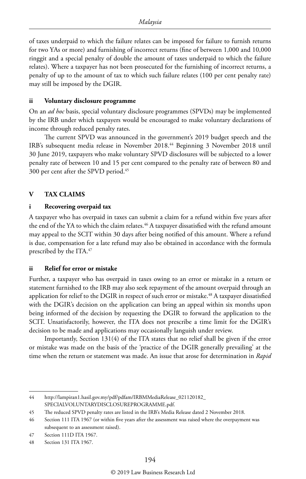of taxes underpaid to which the failure relates can be imposed for failure to furnish returns for two YAs or more) and furnishing of incorrect returns (fine of between 1,000 and 10,000 ringgit and a special penalty of double the amount of taxes underpaid to which the failure relates). Where a taxpayer has not been prosecuted for the furnishing of incorrect returns, a penalty of up to the amount of tax to which such failure relates (100 per cent penalty rate) may still be imposed by the DGIR.

#### **ii Voluntary disclosure programme**

On an *ad hoc* basis, special voluntary disclosure programmes (SPVDs) may be implemented by the IRB under which taxpayers would be encouraged to make voluntary declarations of income through reduced penalty rates.

The current SPVD was announced in the government's 2019 budget speech and the IRB's subsequent media release in November 2018.44 Beginning 3 November 2018 until 30 June 2019, taxpayers who make voluntary SPVD disclosures will be subjected to a lower penalty rate of between 10 and 15 per cent compared to the penalty rate of between 80 and 300 per cent after the SPVD period.45

#### **V TAX CLAIMS**

#### **i Recovering overpaid tax**

A taxpayer who has overpaid in taxes can submit a claim for a refund within five years after the end of the YA to which the claim relates.<sup>46</sup> A taxpayer dissatisfied with the refund amount may appeal to the SCIT within 30 days after being notified of this amount. Where a refund is due, compensation for a late refund may also be obtained in accordance with the formula prescribed by the ITA.47

#### **ii Relief for error or mistake**

Further, a taxpayer who has overpaid in taxes owing to an error or mistake in a return or statement furnished to the IRB may also seek repayment of the amount overpaid through an application for relief to the DGIR in respect of such error or mistake.<sup>48</sup> A taxpayer dissatisfied with the DGIR's decision on the application can bring an appeal within six months upon being informed of the decision by requesting the DGIR to forward the application to the SCIT. Unsatisfactorily, however, the ITA does not prescribe a time limit for the DGIR's decision to be made and applications may occasionally languish under review.

Importantly, Section 131(4) of the ITA states that no relief shall be given if the error or mistake was made on the basis of the 'practice of the DGIR generally prevailing' at the time when the return or statement was made. An issue that arose for determination in *Rapid* 

<sup>44</sup> http://lampiran1.hasil.gov.my/pdf/pdfam/IRBMMediaRelease\_021120182\_ SPECIALVOLUNTARYDISCLOSUREPROGRAMME.pdf.

<sup>45</sup> The reduced SPVD penalty rates are listed in the IRB's Media Release dated 2 November 2018.

<sup>46</sup> Section 111 ITA 1967 (or within five years after the assessment was raised where the overpayment was subsequent to an assessment raised).

<sup>47</sup> Section 111D ITA 1967.

<sup>48</sup> Section 131 ITA 1967.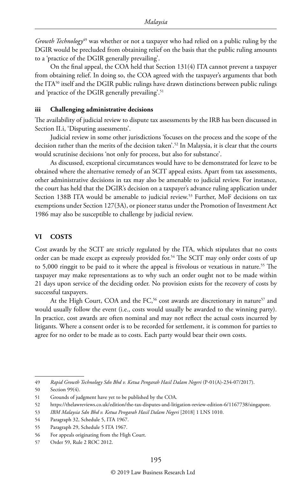*Growth Technology*49 was whether or not a taxpayer who had relied on a public ruling by the DGIR would be precluded from obtaining relief on the basis that the public ruling amounts to a 'practice of the DGIR generally prevailing'.

On the final appeal, the COA held that Section 131(4) ITA cannot prevent a taxpayer from obtaining relief. In doing so, the COA agreed with the taxpayer's arguments that both the ITA<sup>50</sup> itself and the DGIR public rulings have drawn distinctions between public rulings and 'practice of the DGIR generally prevailing'.<sup>51</sup>

#### **iii Challenging administrative decisions**

The availability of judicial review to dispute tax assessments by the IRB has been discussed in Section II.i, 'Disputing assessments'.

Judicial review in some other jurisdictions 'focuses on the process and the scope of the decision rather than the merits of the decision taken'.<sup>52</sup> In Malaysia, it is clear that the courts would scrutinise decisions 'not only for process, but also for substance'.

As discussed, exceptional circumstances would have to be demonstrated for leave to be obtained where the alternative remedy of an SCIT appeal exists. Apart from tax assessments, other administrative decisions in tax may also be amenable to judicial review. For instance, the court has held that the DGIR's decision on a taxpayer's advance ruling application under Section 138B ITA would be amenable to judicial review.53 Further, MoF decisions on tax exemptions under Section 127(3A), or pioneer status under the Promotion of Investment Act 1986 may also be susceptible to challenge by judicial review.

#### **VI COSTS**

Cost awards by the SCIT are strictly regulated by the ITA, which stipulates that no costs order can be made except as expressly provided for.54 The SCIT may only order costs of up to 5,000 ringgit to be paid to it where the appeal is frivolous or vexatious in nature.55 The taxpayer may make representations as to why such an order ought not to be made within 21 days upon service of the deciding order. No provision exists for the recovery of costs by successful taxpayers.

At the High Court, COA and the FC,<sup>56</sup> cost awards are discretionary in nature<sup>57</sup> and would usually follow the event (i.e., costs would usually be awarded to the winning party). In practice, cost awards are often nominal and may not reflect the actual costs incurred by litigants. Where a consent order is to be recorded for settlement, it is common for parties to agree for no order to be made as to costs. Each party would bear their own costs.

<sup>49</sup> *Rapid Growth Technology Sdn Bhd v. Ketua Pengarah Hasil Dalam Negeri* (P-01(A)-234-07/2017).

<sup>50</sup> Section 99(4).

<sup>51</sup> Grounds of judgment have yet to be published by the COA.

<sup>52</sup> https://thelawreviews.co.uk/edition/the-tax-disputes-and-litigation-review-edition-6/1167738/singapore.

<sup>53</sup> *IBM Malaysia Sdn Bhd v. Ketua Pengarah Hasil Dalam Negeri* [2018] 1 LNS 1010.

<sup>54</sup> Paragraph 32, Schedule 5, ITA 1967.

<sup>55</sup> Paragraph 29, Schedule 5 ITA 1967.

<sup>56</sup> For appeals originating from the High Court.

<sup>57</sup> Order 59, Rule 2 ROC 2012.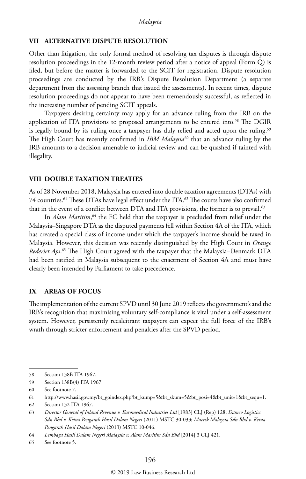#### **VII ALTERNATIVE DISPUTE RESOLUTION**

Other than litigation, the only formal method of resolving tax disputes is through dispute resolution proceedings in the 12-month review period after a notice of appeal (Form Q) is filed, but before the matter is forwarded to the SCIT for registration. Dispute resolution proceedings are conducted by the IRB's Dispute Resolution Department (a separate department from the assessing branch that issued the assessments). In recent times, dispute resolution proceedings do not appear to have been tremendously successful, as reflected in the increasing number of pending SCIT appeals.

Taxpayers desiring certainty may apply for an advance ruling from the IRB on the application of ITA provisions to proposed arrangements to be entered into.58 The DGIR is legally bound by its ruling once a taxpayer has duly relied and acted upon the ruling.<sup>59</sup> The High Court has recently confirmed in *IBM Malaysia*<sup>60</sup> that an advance ruling by the IRB amounts to a decision amenable to judicial review and can be quashed if tainted with illegality.

#### **VIII DOUBLE TAXATION TREATIES**

As of 28 November 2018, Malaysia has entered into double taxation agreements (DTAs) with 74 countries.<sup>61</sup> These DTAs have legal effect under the ITA.<sup>62</sup> The courts have also confirmed that in the event of a conflict between DTA and ITA provisions, the former is to prevail.<sup>63</sup>

In *Alam Maritim*, 64 the FC held that the taxpayer is precluded from relief under the Malaysia–Singapore DTA as the disputed payments fell within Section 4A of the ITA, which has created a special class of income under which the taxpayer's income should be taxed in Malaysia. However, this decision was recently distinguished by the High Court in *Orange Rederiet Aps*. 65 The High Court agreed with the taxpayer that the Malaysia–Denmark DTA had been ratified in Malaysia subsequent to the enactment of Section 4A and must have clearly been intended by Parliament to take precedence.

#### **IX AREAS OF FOCUS**

The implementation of the current SPVD until 30 June 2019 reflects the government's and the IRB's recognition that maximising voluntary self-compliance is vital under a self-assessment system. However, persistently recalcitrant taxpayers can expect the full force of the IRB's wrath through stricter enforcement and penalties after the SPVD period.

<sup>58</sup> Section 138B ITA 1967.

<sup>59</sup> Section 138B(4) ITA 1967.

<sup>60</sup> See footnote 7.

<sup>61</sup> http://www.hasil.gov.my/bt\_goindex.php?bt\_kump=5&bt\_skum=5&bt\_posi=4&bt\_unit=1&bt\_sequ=1.

<sup>62</sup> Section 132 ITA 1967.

<sup>63</sup> *Director General of Inland Revenue v. Euromedical Industries Ltd* [1983] CLJ (Rep) 128; *Damco Logistics Sdn Bhd v. Ketua Pengarah Hasil Dalam Negeri* (2011) MSTC 30-033; *Maersk Malaysia Sdn Bhd v. Ketua Pengarah Hasil Dalam Negeri* (2013) MSTC 10-046.

<sup>64</sup> *Lembaga Hasil Dalam Negeri Malaysia v. Alam Maritim Sdn Bhd* [2014] 3 CLJ 421.

<sup>65</sup> See footnote 5.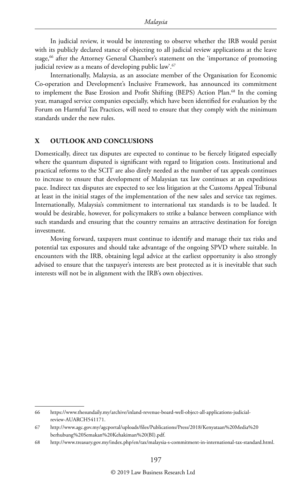In judicial review, it would be interesting to observe whether the IRB would persist with its publicly declared stance of objecting to all judicial review applications at the leave stage,<sup>66</sup> after the Attorney General Chamber's statement on the 'importance of promoting judicial review as a means of developing public law'.<sup>67</sup>

Internationally, Malaysia, as an associate member of the Organisation for Economic Co-operation and Development's Inclusive Framework, has announced its commitment to implement the Base Erosion and Profit Shifting (BEPS) Action Plan.<sup>68</sup> In the coming year, managed service companies especially, which have been identified for evaluation by the Forum on Harmful Tax Practices, will need to ensure that they comply with the minimum standards under the new rules.

#### **X OUTLOOK AND CONCLUSIONS**

Domestically, direct tax disputes are expected to continue to be fiercely litigated especially where the quantum disputed is significant with regard to litigation costs. Institutional and practical reforms to the SCIT are also direly needed as the number of tax appeals continues to increase to ensure that development of Malaysian tax law continues at an expeditious pace. Indirect tax disputes are expected to see less litigation at the Customs Appeal Tribunal at least in the initial stages of the implementation of the new sales and service tax regimes. Internationally, Malaysia's commitment to international tax standards is to be lauded. It would be desirable, however, for policymakers to strike a balance between compliance with such standards and ensuring that the country remains an attractive destination for foreign investment.

Moving forward, taxpayers must continue to identify and manage their tax risks and potential tax exposures and should take advantage of the ongoing SPVD where suitable. In encounters with the IRB, obtaining legal advice at the earliest opportunity is also strongly advised to ensure that the taxpayer's interests are best protected as it is inevitable that such interests will not be in alignment with the IRB's own objectives.

<sup>66</sup> https://www.thesundaily.my/archive/inland-revenue-board-well-object-all-applications-judicialreview-AUARCH541171.

<sup>67</sup> http://www.agc.gov.my/agcportal/uploads/files/Publications/Press/2018/Kenyataan%20Media%20 berhubung%20Semakan%20Kehakiman%20(BI).pdf.

<sup>68</sup> http://www.treasury.gov.my/index.php/en/tax/malaysia-s-commitment-in-international-tax-standard.html.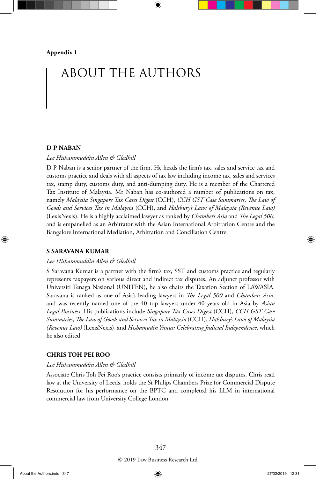# ABOUT THE AUTHORS

#### **D P NABAN**

#### *Lee Hishammuddin Allen & Gledhill*

D P Naban is a senior partner of the firm. He heads the firm's tax, sales and service tax and customs practice and deals with all aspects of tax law including income tax, sales and services tax, stamp duty, customs duty, and anti-dumping duty. He is a member of the Chartered Tax Institute of Malaysia. Mr Naban has co-authored a number of publications on tax, namely *Malaysia Singapore Tax Cases Digest* (CCH), *CCH GST Case Summaries*, *The Law of Goods and Services Tax in Malaysia* (CCH), and *Halsbury's Laws of Malaysia (Revenue Law)*  (LexisNexis). He is a highly acclaimed lawyer as ranked by *Chambers Asia* and *The Legal 500*, and is empanelled as an Arbitrator with the Asian International Arbitration Centre and the Bangalore International Mediation, Arbitration and Conciliation Centre.

#### **S SARAVANA KUMAR**

#### *Lee Hishammuddin Allen & Gledhill*

S Saravana Kumar is a partner with the firm's tax, SST and customs practice and regularly represents taxpayers on various direct and indirect tax disputes. An adjunct professor with Universiti Tenaga Nasional (UNITEN), he also chairs the Taxation Section of LAWASIA. Saravana is ranked as one of Asia's leading lawyers in *The Legal 500* and *Chambers Asia*, and was recently named one of the 40 top lawyers under 40 years old in Asia by *Asian Legal Business*. His publications include *Singapore Tax Cases Digest* (CCH), *CCH GST Case Summaries*, *The Law of Goods and Services Tax in Malaysia* (CCH), *Halsbury's Laws of Malaysia (Revenue Law)* (LexisNexis), and *Hishamudin Yunus: Celebrating Judicial Independence*, which he also edited.

#### **CHRIS TOH PEI ROO**

#### *Lee Hishammuddin Allen & Gledhill*

Associate Chris Toh Pei Roo's practice consists primarily of income tax disputes. Chris read law at the University of Leeds, holds the St Philips Chambers Prize for Commercial Dispute Resolution for his performance on the BPTC and completed his LLM in international commercial law from University College London.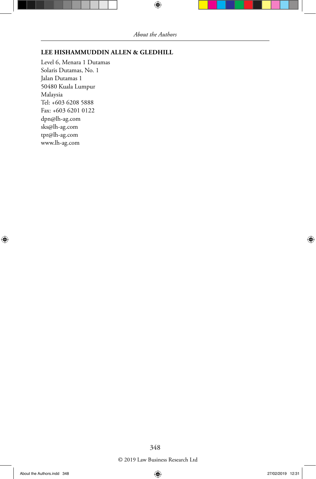#### **LEE HISHAMMUDDIN ALLEN & GLEDHILL**

Level 6, Menara 1 Dutamas Solaris Dutamas, No. 1 Jalan Dutamas 1 50480 Kuala Lumpur Malaysia Tel: +603 6208 5888 Fax: +603 6201 0122 dpn@lh-ag.com sks@lh-ag.com tpr@lh-ag.com www.lh-ag.com